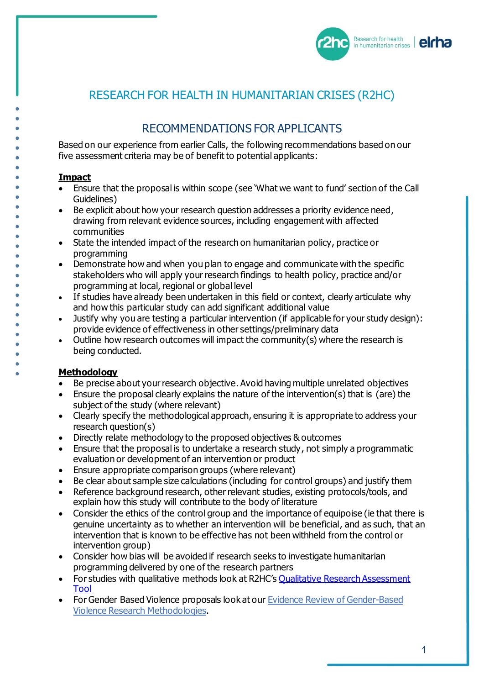

## RESEARCH FOR HEALTH IN HUMANITARIAN CRISES (R2HC)

# RECOMMENDATIONS FOR APPLICANTS

Based on our experience from earlier Calls, the following recommendations based on our five assessment criteria may be of benefit to potential applicants:

#### **Impact**

- Ensure that the proposal is within scope (see 'What we want to fund' section of the Call Guidelines)
- Be explicit about how your research question addresses a priority evidence need, drawing from relevant evidence sources, including engagement with affected communities
- State the intended impact of the research on humanitarian policy, practice or programming
- Demonstrate how and when you plan to engage and communicate with the specific stakeholders who will apply your research findings to health policy, practice and/or programming at local, regional or global level
- If studies have already been undertaken in this field or context, clearly articulate why and how this particular study can add significant additional value
- Justify why you are testing a particular intervention (if applicable for your study design): provide evidence of effectiveness in other settings/preliminary data
- Outline how research outcomes will impact the community(s) where the research is being conducted.

#### **Methodology**

- Be precise about your research objective. Avoid having multiple unrelated objectives
- Ensure the proposal clearly explains the nature of the intervention(s) that is (are) the subject of the study (where relevant)
- Clearly specify the methodological approach, ensuring it is appropriate to address your research question(s)
- Directly relate methodology to the proposed objectives & outcomes
- Ensure that the proposal is to undertake a research study, not simply a programmatic evaluation or development of an intervention or product
- Ensure appropriate comparison groups (where relevant)
- Be clear about sample size calculations (including for control groups) and justify them
- Reference background research, other relevant studies, existing protocols/tools, and explain how this study will contribute to the body of literature
- Consider the ethics of the control group and the importance of equipoise (ie that there is genuine uncertainty as to whether an intervention will be beneficial, and as such, that an intervention that is known to be effective has not been withheld from the control or intervention group)
- Consider how bias will be avoided if research seeks to investigate humanitarian programming delivered by one of the research partners
- For studies with qualitative methods look at R2HC's Qualitative Research Assessment [Tool](https://www.elrha.org/wp-content/uploads/2020/02/Annex-5-Qualitative-Research-Assessment-Tool.pdf)
- For Gender Based Violence proposals look at our Evidence Review of Gender-Based Violence Research Methodologies.

 $\overline{1}$